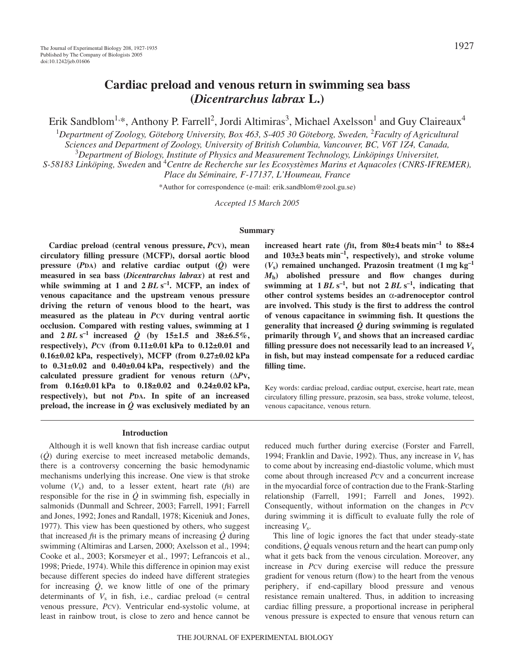# **Cardiac preload and venous return in swimming sea bass (***Dicentrarchus labrax* **L.)**

Erik Sandblom<sup>1,\*</sup>, Anthony P. Farrell<sup>2</sup>, Jordi Altimiras<sup>3</sup>, Michael Axelsson<sup>1</sup> and Guy Claireaux<sup>4</sup>

1 *Department of Zoology, Göteborg University, Box 463, S-405 30 Göteborg, Sweden,* <sup>2</sup> *Faculty of Agricultural*

*Sciences and Department of Zoology, University of British Columbia, Vancouver, BC, V6T 1Z4, Canada,*

3 *Department of Biology, Institute of Physics and Measurement Technology, Linköpings Universitet,*

*S-58183 Linköping, Sweden* and 4 *Centre de Recherche sur les Ecosystèmes Marins et Aquacoles (CNRS-IFREMER),*

*Place du Séminaire, F-17137, L'Houmeau, France*

\*Author for correspondence (e-mail: erik.sandblom@zool.gu.se)

*Accepted 15 March 2005*

#### **Summary**

**Cardiac preload (central venous pressure,** *P***CV), mean circulatory filling pressure (MCFP), dorsal aortic blood pressure** ( $P_{DA}$ ) and relative cardiac output ( $\dot{Q}$ ) were **measured in sea bass (***Dicentrarchus labrax***) at rest and** while swimming at 1 and  $2 BLs^{-1}$ . MCFP, an index of **venous capacitance and the upstream venous pressure driving the return of venous blood to the heart, was measured as the plateau in** *P***CV during ventral aortic occlusion. Compared with resting values, swimming at 1** and  $2 BLs^{-1}$  increased  $\dot{Q}$  (by 15±1.5 and 38±6.5%, **respectively),** *P***CV** (from  $0.11\pm0.01$  kPa to  $0.12\pm0.01$  and 0.16±0.02 kPa, respectively), MCFP (from 0.27±0.02 kPa to  $0.31\pm0.02$  and  $0.40\pm0.04$  kPa, respectively) and the **calculated pressure gradient for venous return (**∆*P***V,** from  $0.16\pm0.01$  kPa to  $0.18\pm0.02$  and  $0.24\pm0.02$  kPa, **respectively), but not** *P***DA. In spite of an increased** preload, the increase in  $\dot{Q}$  was exclusively mediated by an

#### **Introduction**

Although it is well known that fish increase cardiac output (*Q*) during exercise to meet increased metabolic demands, there is a controversy concerning the basic hemodynamic mechanisms underlying this increase. One view is that stroke volume  $(V<sub>s</sub>)$  and, to a lesser extent, heart rate  $(fH)$  are responsible for the rise in  $\dot{Q}$  in swimming fish, especially in salmonids (Dunmall and Schreer, 2003; Farrell, 1991; Farrell and Jones, 1992; Jones and Randall, 1978; Kiceniuk and Jones, 1977). This view has been questioned by others, who suggest that increased *f*H is the primary means of increasing *Q* during swimming (Altimiras and Larsen, 2000; Axelsson et al., 1994; Cooke et al., 2003; Korsmeyer et al., 1997; Lefrancois et al., 1998; Priede, 1974). While this difference in opinion may exist because different species do indeed have different strategies for increasing *Q*, we know little of one of the primary determinants of  $V_s$  in fish, i.e., cardiac preload  $(=$  central venous pressure, *P*CV). Ventricular end-systolic volume, at least in rainbow trout, is close to zero and hence cannot be

 $i$ **increased heart rate (***f***H, from 80** $\pm$ **4 beats min<sup>-1</sup> to 88** $\pm$ **4** and  $103\pm3$  beats min<sup>-1</sup>, respectively), and stroke volume  $(V_s)$  remained unchanged. Prazosin treatment  $(1 \text{ mg kg}^{-1})$ *M***b) abolished pressure and flow changes during** swimming at  $1 BLs^{-1}$ , but not  $2 BLs^{-1}$ , indicating that **other control systems besides an** α**-adrenoceptor control are involved. This study is the first to address the control of venous capacitance in swimming fish. It questions the generality that increased**  $\dot{Q}$  **during swimming is regulated primarily through** *V***<sup>s</sup> and shows that an increased cardiac filling pressure does not necessarily lead to an increased**  $V_s$ **in fish, but may instead compensate for a reduced cardiac filling time.** 

Key words: cardiac preload, cardiac output, exercise, heart rate, mean circulatory filling pressure, prazosin, sea bass, stroke volume, teleost, venous capacitance, venous return.

reduced much further during exercise (Forster and Farrell, 1994; Franklin and Davie, 1992). Thus, any increase in  $V_s$  has to come about by increasing end-diastolic volume, which must come about through increased *P*CV and a concurrent increase in the myocardial force of contraction due to the Frank-Starling relationship (Farrell, 1991; Farrell and Jones, 1992). Consequently, without information on the changes in *PCV* during swimming it is difficult to evaluate fully the role of increasing *V*s.

This line of logic ignores the fact that under steady-state conditions, *Q* equals venous return and the heart can pump only what it gets back from the venous circulation. Moreover, any increase in *P*CV during exercise will reduce the pressure gradient for venous return (flow) to the heart from the venous periphery, if end-capillary blood pressure and venous resistance remain unaltered. Thus, in addition to increasing cardiac filling pressure, a proportional increase in peripheral venous pressure is expected to ensure that venous return can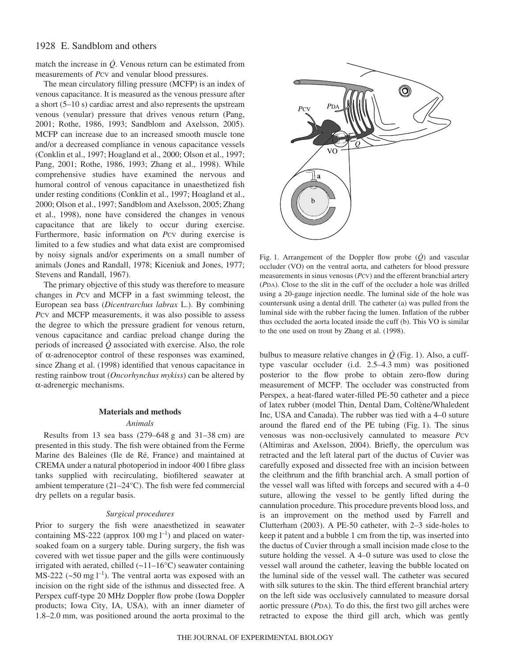# 1928 E. Sandblom and others

match the increase in  $\dot{Q}$ . Venous return can be estimated from measurements of *P*CV and venular blood pressures.

The mean circulatory filling pressure (MCFP) is an index of venous capacitance. It is measured as the venous pressure after a short  $(5-10s)$  cardiac arrest and also represents the upstream venous (venular) pressure that drives venous return (Pang, 2001; Rothe, 1986, 1993; Sandblom and Axelsson, 2005). MCFP can increase due to an increased smooth muscle tone and/or a decreased compliance in venous capacitance vessels (Conklin et al., 1997; Hoagland et al., 2000; Olson et al., 1997; Pang, 2001; Rothe, 1986, 1993; Zhang et al., 1998). While comprehensive studies have examined the nervous and humoral control of venous capacitance in unaesthetized fish under resting conditions (Conklin et al., 1997; Hoagland et al., 2000; Olson et al., 1997; Sandblom and Axelsson, 2005; Zhang et al., 1998), none have considered the changes in venous capacitance that are likely to occur during exercise. Furthermore, basic information on *Pcv* during exercise is limited to a few studies and what data exist are compromised by noisy signals and/or experiments on a small number of animals (Jones and Randall, 1978; Kiceniuk and Jones, 1977; Stevens and Randall, 1967).

The primary objective of this study was therefore to measure changes in *P*CV and MCFP in a fast swimming teleost, the European sea bass (*Dicentrarchus labrax* L.). By combining *P*CV and MCFP measurements, it was also possible to assess the degree to which the pressure gradient for venous return, venous capacitance and cardiac preload change during the periods of increased  $\dot{Q}$  associated with exercise. Also, the role of α-adrenoceptor control of these responses was examined, since Zhang et al. (1998) identified that venous capacitance in resting rainbow trout (*Oncorhynchus mykiss*) can be altered by α-adrenergic mechanisms.

### **Materials and methods**

#### *Animals*

Results from 13 sea bass  $(279-648 \text{ g and } 31-38 \text{ cm})$  are presented in this study. The fish were obtained from the Ferme Marine des Baleines (Ile de Ré, France) and maintained at CREMA under a natural photoperiod in indoor 400 l fibre glass tanks supplied with recirculating, biofiltered seawater at ambient temperature (21–24°C). The fish were fed commercial dry pellets on a regular basis.

### *Surgical procedures*

Prior to surgery the fish were anaesthetized in seawater containing MS-222 (approx 100 mg  $l^{-1}$ ) and placed on watersoaked foam on a surgery table. During surgery, the fish was covered with wet tissue paper and the gills were continuously irrigated with aerated, chilled (~11–16°C) seawater containing MS-222 ( $\sim$ 50 mg l<sup>-1</sup>). The ventral aorta was exposed with an incision on the right side of the isthmus and dissected free. A Perspex cuff-type 20 MHz Doppler flow probe (Iowa Doppler products; Iowa City, IA, USA), with an inner diameter of 1.8–2.0 mm, was positioned around the aorta proximal to the



Fig. 1. Arrangement of the Doppler flow probe  $(\dot{Q})$  and vascular occluder (VO) on the ventral aorta, and catheters for blood pressure measurements in sinus venosus (*P*CV) and the efferent branchial artery (*P*DA). Close to the slit in the cuff of the occluder a hole was drilled using a 20-gauge injection needle. The luminal side of the hole was countersunk using a dental drill. The catheter (a) was pulled from the luminal side with the rubber facing the lumen. Inflation of the rubber thus occluded the aorta located inside the cuff (b). This VO is similar to the one used on trout by Zhang et al. (1998).

bulbus to measure relative changes in  $\dot{Q}$  (Fig. 1). Also, a cufftype vascular occluder (i.d.  $2.5-4.3$  mm) was positioned posterior to the flow probe to obtain zero-flow during measurement of MCFP. The occluder was constructed from Perspex, a heat-flared water-filled PE-50 catheter and a piece of latex rubber (model Thin, Dental Dam, Coltène/Whaledent Inc, USA and Canada). The rubber was tied with a 4–0 suture around the flared end of the PE tubing  $(Fig. 1)$ . The sinus venosus was non-occlusively cannulated to measure *PCV* (Altimiras and Axelsson, 2004). Briefly, the operculum was retracted and the left lateral part of the ductus of Cuvier was carefully exposed and dissected free with an incision between the cleithrum and the fifth branchial arch. A small portion of the vessel wall was lifted with forceps and secured with a 4–0 suture, allowing the vessel to be gently lifted during the cannulation procedure. This procedure prevents blood loss, and is an improvement on the method used by Farrell and Clutterham (2003). A PE-50 catheter, with 2–3 side-holes to keep it patent and a bubble 1 cm from the tip, was inserted into the ductus of Cuvier through a small incision made close to the suture holding the vessel. A 4–0 suture was used to close the vessel wall around the catheter, leaving the bubble located on the luminal side of the vessel wall. The catheter was secured with silk sutures to the skin. The third efferent branchial artery on the left side was occlusively cannulated to measure dorsal aortic pressure (*P*DA). To do this, the first two gill arches were retracted to expose the third gill arch, which was gently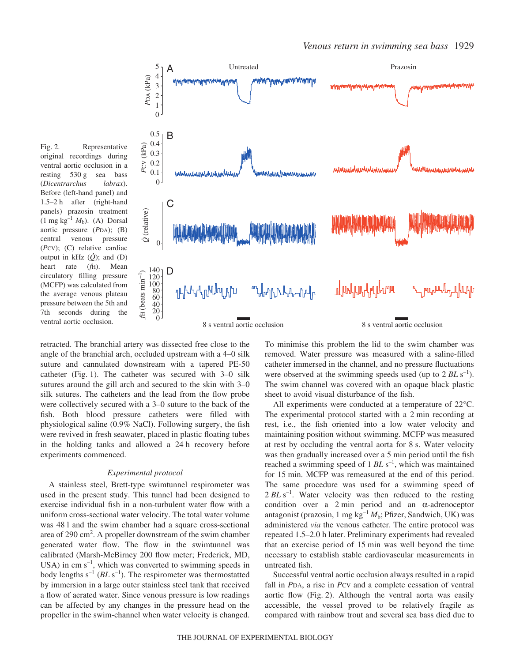



retracted. The branchial artery was dissected free close to the angle of the branchial arch, occluded upstream with a 4–0 silk suture and cannulated downstream with a tapered PE-50 catheter (Fig. 1). The catheter was secured with  $3-0$  silk sutures around the gill arch and secured to the skin with 3–0 silk sutures. The catheters and the lead from the flow probe were collectively secured with a 3–0 suture to the back of the fish. Both blood pressure catheters were filled with physiological saline (0.9% NaCl). Following surgery, the fish were revived in fresh seawater, placed in plastic floating tubes in the holding tanks and allowed a 24 h recovery before experiments commenced.

#### *Experimental protocol*

A stainless steel, Brett-type swimtunnel respirometer was used in the present study. This tunnel had been designed to exercise individual fish in a non-turbulent water flow with a uniform cross-sectional water velocity. The total water volume was 48 l and the swim chamber had a square cross-sectional area of 290 cm<sup>2</sup>. A propeller downstream of the swim chamber generated water flow. The flow in the swimtunnel was calibrated (Marsh-McBirney 200 flow meter; Frederick, MD, USA) in cm  $s^{-1}$ , which was converted to swimming speeds in body lengths  $s^{-1}$  ( $BL\ s^{-1}$ ). The respirometer was thermostatted by immersion in a large outer stainless steel tank that received a flow of aerated water. Since venous pressure is low readings can be affected by any changes in the pressure head on the propeller in the swim-channel when water velocity is changed.

To minimise this problem the lid to the swim chamber was removed. Water pressure was measured with a saline-filled catheter immersed in the channel, and no pressure fluctuations were observed at the swimming speeds used (up to  $2 BL\ s^{-1}$ ). The swim channel was covered with an opaque black plastic sheet to avoid visual disturbance of the fish.

All experiments were conducted at a temperature of 22°C. The experimental protocol started with a 2 min recording at rest, i.e., the fish oriented into a low water velocity and maintaining position without swimming. MCFP was measured at rest by occluding the ventral aorta for 8 s. Water velocity was then gradually increased over a 5 min period until the fish reached a swimming speed of 1 *BL* s<sup>-1</sup>, which was maintained for 15 min. MCFP was remeasured at the end of this period. The same procedure was used for a swimming speed of 2 BL s<sup>-1</sup>. Water velocity was then reduced to the resting condition over a  $2 \text{ min}$  period and an  $\alpha$ -adrenoceptor antagonist (prazosin, 1 mg kg<sup>-1</sup>  $M_h$ ; Pfizer, Sandwich, UK) was administered *via* the venous catheter. The entire protocol was repeated 1.5–2.0 h later. Preliminary experiments had revealed that an exercise period of 15 min was well beyond the time necessary to establish stable cardiovascular measurements in untreated fish.

Successful ventral aortic occlusion always resulted in a rapid fall in *P*DA, a rise in *P*CV and a complete cessation of ventral aortic flow (Fig. 2). Although the ventral aorta was easily accessible, the vessel proved to be relatively fragile as compared with rainbow trout and several sea bass died due to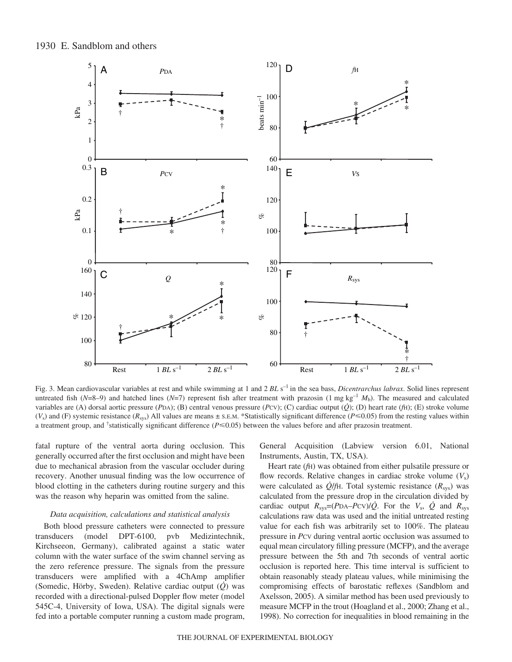1930 E. Sandblom and others



Fig. 3. Mean cardiovascular variables at rest and while swimming at 1 and 2  $BL\ s^{-1}$  in the sea bass, *Dicentrarchus labrax*. Solid lines represent untreated fish ( $N=8-9$ ) and hatched lines ( $N=7$ ) represent fish after treatment with prazosin (1 mg kg<sup>-1</sup>  $M_b$ ). The measured and calculated variables are (A) dorsal aortic pressure (*P*DA); (B) central venous pressure (*P*CV); (C) cardiac output ( $\dot{Q}$ ); (D) heart rate ( $\dot{f}$ H); (E) stroke volume  $(V_s)$  and (F) systemic resistance ( $R_{sys}$ ) All values are means  $\pm$  s.e.m. \*Statistically significant difference ( $P \le 0.05$ ) from the resting values within a treatment group, and <sup>†</sup>statistically significant difference ( $P \le 0.05$ ) between the values before and after prazosin treatment.

fatal rupture of the ventral aorta during occlusion. This generally occurred after the first occlusion and might have been due to mechanical abrasion from the vascular occluder during recovery. Another unusual finding was the low occurrence of blood clotting in the catheters during routine surgery and this was the reason why heparin was omitted from the saline.

# *Data acquisition, calculations and statistical analysis*

Both blood pressure catheters were connected to pressure transducers (model DPT-6100, pvb Medizintechnik, Kirchseeon, Germany), calibrated against a static water column with the water surface of the swim channel serving as the zero reference pressure. The signals from the pressure transducers were amplified with a 4ChAmp amplifier (Somedic, Hörby, Sweden). Relative cardiac output (*Q*) was recorded with a directional-pulsed Doppler flow meter (model 545C-4, University of Iowa, USA). The digital signals were fed into a portable computer running a custom made program,

General Acquisition (Labview version 6.01, National Instruments, Austin, TX, USA).

Heart rate (*f*H) was obtained from either pulsatile pressure or flow records. Relative changes in cardiac stroke volume (*V*s) were calculated as *Q*/*f*H. Total systemic resistance (*R*sys) was calculated from the pressure drop in the circulation divided by cardiac output  $R_{sys} = (PDA-PCV)/Q$ . For the  $V_s$ ,  $\dot{Q}$  and  $R_{sys}$ calculations raw data was used and the initial untreated resting value for each fish was arbitrarily set to 100%. The plateau pressure in *P*CV during ventral aortic occlusion was assumed to equal mean circulatory filling pressure (MCFP), and the average pressure between the 5th and 7th seconds of ventral aortic occlusion is reported here. This time interval is sufficient to obtain reasonably steady plateau values, while minimising the compromising effects of barostatic reflexes (Sandblom and Axelsson, 2005). A similar method has been used previously to measure MCFP in the trout (Hoagland et al., 2000; Zhang et al., 1998). No correction for inequalities in blood remaining in the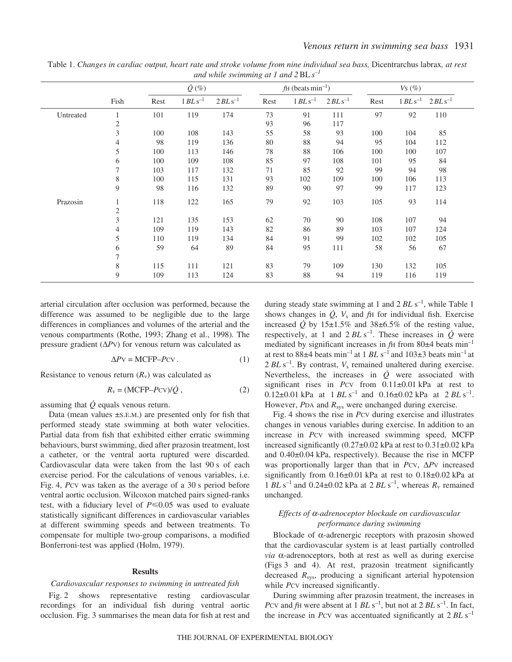|           |                |      | $\dot{Q}$ (%) |              |      | $\text{fH}$ (beats min <sup>-1</sup> ) |                        |      | $Vs$ $(\%)$  |                        |  |
|-----------|----------------|------|---------------|--------------|------|----------------------------------------|------------------------|------|--------------|------------------------|--|
|           | Fish           | Rest | $1 BLs^{-1}$  | $2 BLs^{-1}$ | Rest | $1 BLs^{-1}$                           | $2 BL$ s <sup>-1</sup> | Rest | $1 BLs^{-1}$ | $2 BL$ s <sup>-1</sup> |  |
| Untreated | 1              | 101  | 119           | 174          | 73   | 91                                     | 111                    | 97   | 92           | 110                    |  |
|           | $\overline{c}$ |      |               |              | 93   | 96                                     | 117                    |      |              |                        |  |
|           | 3              | 100  | 108           | 143          | 55   | 58                                     | 93                     | 100  | 104          | 85                     |  |
|           | 4              | 98   | 119           | 136          | 80   | 88                                     | 94                     | 95   | 104          | 112                    |  |
|           | 5              | 100  | 113           | 146          | 78   | 88                                     | 106                    | 100  | 100          | 107                    |  |
|           | 6              | 100  | 109           | 108          | 85   | 97                                     | 108                    | 101  | 95           | 84                     |  |
|           | $\tau$         | 103  | 117           | 132          | 71   | 85                                     | 92                     | 99   | 94           | 98                     |  |
|           | $\,$ 8 $\,$    | 100  | 115           | 131          | 93   | 102                                    | 109                    | 100  | 106          | 113                    |  |
|           | 9              | 98   | 116           | 132          | 89   | 90                                     | 97                     | 99   | 117          | 123                    |  |
| Prazosin  | $\mathbf{1}$   | 118  | 122           | 165          | 79   | 92                                     | 103                    | 105  | 93           | 114                    |  |
|           | $\mathfrak{2}$ |      |               |              |      |                                        |                        |      |              |                        |  |
|           | $\mathfrak{Z}$ | 121  | 135           | 153          | 62   | 70                                     | 90                     | 108  | 107          | 94                     |  |
|           | 4              | 109  | 119           | 143          | 82   | 86                                     | 89                     | 103  | 107          | 124                    |  |
|           | 5              | 110  | 119           | 134          | 84   | 91                                     | 99                     | 102  | 102          | 105                    |  |
|           | 6              | 59   | 64            | 89           | 84   | 95                                     | 111                    | 58   | 56           | 67                     |  |
|           | 7              |      |               |              |      |                                        |                        |      |              |                        |  |
|           | $\,$ 8 $\,$    | 115  | 111           | 121          | 83   | 79                                     | 109                    | 130  | 132          | 105                    |  |
|           | 9              | 109  | 113           | 124          | 83   | 88                                     | 94                     | 119  | 116          | 119                    |  |

Table 1. *Changes in cardiac output, heart rate and stroke volume from nine individual sea bass,* Dicentrarchus labrax*, at rest and while swimming at 1 and 2*BL*s–1*

arterial circulation after occlusion was performed, because the difference was assumed to be negligible due to the large differences in compliances and volumes of the arterial and the venous compartments (Rothe, 1993; Zhang et al., 1998). The pressure gradient (∆*P*V) for venous return was calculated as

$$
\Delta P \mathbf{V} = \text{MCFP} - P \mathbf{CV} \,. \tag{1}
$$

Resistance to venous return  $(R_v)$  was calculated as

$$
R_{v} = (MCFP - Pcv)/\dot{Q}, \qquad (2)
$$

assuming that  $\dot{Q}$  equals venous return.

Data (mean values ±S.E.M.) are presented only for fish that performed steady state swimming at both water velocities. Partial data from fish that exhibited either erratic swimming behaviours, burst swimming, died after prazosin treatment, lost a catheter, or the ventral aorta ruptured were discarded. Cardiovascular data were taken from the last 90 s of each exercise period. For the calculations of venous variables, i.e. Fig. 4, *Pcv* was taken as the average of a 30 s period before ventral aortic occlusion. Wilcoxon matched pairs signed-ranks test, with a fiduciary level of  $P \le 0.05$  was used to evaluate statistically significant differences in cardiovascular variables at different swimming speeds and between treatments. To compensate for multiple two-group comparisons, a modified Bonferroni-test was applied (Holm, 1979).

### **Results**

### *Cardiovascular responses to swimming in untreated fish*

Fig. 2 shows representative resting cardiovascular recordings for an individual fish during ventral aortic occlusion. Fig. 3 summarises the mean data for fish at rest and

during steady state swimming at 1 and 2 *BL* s<sup>-1</sup>, while Table 1 shows changes in  $\dot{Q}$ ,  $V_s$  and  $fH$  for individual fish. Exercise increased  $\dot{Q}$  by 15±1.5% and 38±6.5% of the resting value, respectively, at 1 and  $2 BLs^{-1}$ . These increases in  $\dot{Q}$  were mediated by significant increases in  $fH$  from 80 $\pm$ 4 beats min<sup>-1</sup> at rest to 88 $\pm$ 4 beats min<sup>-1</sup> at 1 *BL* s<sup>-1</sup> and 103 $\pm$ 3 beats min<sup>-1</sup> at  $2 BLs^{-1}$ . By contrast,  $V_s$  remained unaltered during exercise. Nevertheless, the increases in  $\dot{Q}$  were associated with significant rises in *P*CV from 0.11±0.01 kPa at rest to  $0.12\pm0.01$  kPa at  $1$  *BL* s<sup>-1</sup> and  $0.16\pm0.02$  kPa at  $2$  *BL* s<sup>-1</sup>. However, *PDA* and  $R_{sys}$  were unchanged during exercise.

Fig. 4 shows the rise in *Pcv* during exercise and illustrates changes in venous variables during exercise. In addition to an increase in *Pcv* with increased swimming speed, MCFP increased significantly  $(0.27\pm0.02$  kPa at rest to  $0.31\pm0.02$  kPa and  $0.40\pm0.04$  kPa, respectively). Because the rise in MCFP was proportionally larger than that in *P*CV, ∆*P*V increased significantly from  $0.16\pm0.01$  kPa at rest to  $0.18\pm0.02$  kPa at 1 *BL* s<sup>-1</sup> and 0.24 $\pm$ 0.02 kPa at 2 *BL* s<sup>-1</sup>, whereas  $R_v$  remained unchanged.

### *Effects of* α*-adrenoceptor blockade on cardiovascular performance during swimming*

Blockade of α-adrenergic receptors with prazosin showed that the cardiovascular system is at least partially controlled *via* α-adrenoceptors, both at rest as well as during exercise (Figs·3 and 4). At rest, prazosin treatment significantly decreased *R*sys, producing a significant arterial hypotension while *P*cv increased significantly.

During swimming after prazosin treatment, the increases in *P*CV and *f*H were absent at 1 *BL* s<sup>-1</sup>, but not at 2 *BL* s<sup>-1</sup>. In fact, the increase in *P*CV was accentuated significantly at 2 *BL* s<sup>-1</sup>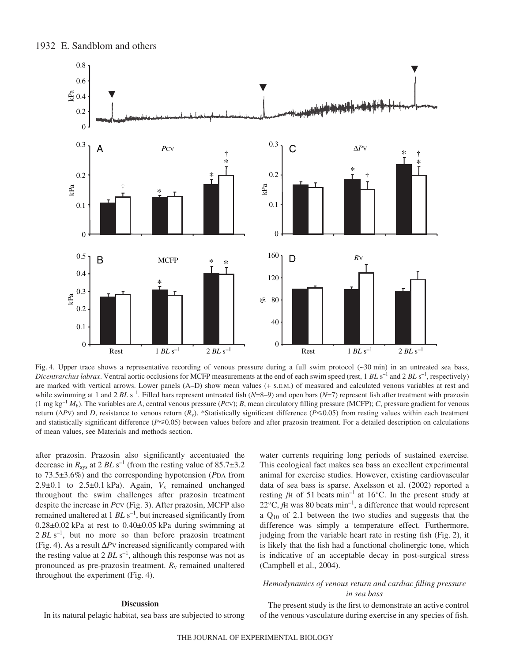

Fig. 4. Upper trace shows a representative recording of venous pressure during a full swim protocol  $(\sim 30 \text{ min})$  in an untreated sea bass, *Dicentrarchus labrax*. Ventral aortic occlusions for MCFP measurements at the end of each swim speed (rest, 1 BL s<sup>-1</sup> and 2 BL s<sup>-1</sup>, respectively) are marked with vertical arrows. Lower panels (A–D) show mean values (+ S.E.M.) of measured and calculated venous variables at rest and while swimming at 1 and 2  $BLs^{-1}$ . Filled bars represent untreated fish ( $N=8-9$ ) and open bars ( $N=7$ ) represent fish after treatment with prazosin (1 mg kg<sup>-1</sup>  $M_b$ ). The variables are *A*, central venous pressure (*P*CV); *B*, mean circulatory filling pressure (MCFP); *C*, pressure gradient for venous return (Δ*P*V) and *D*, resistance to venous return (*R<sub>v</sub>*). \*Statistically significant difference (*P*≤0.05) from resting values within each treatment and statistically significant difference  $(P \le 0.05)$  between values before and after prazosin treatment. For a detailed description on calculations of mean values, see Materials and methods section.

after prazosin. Prazosin also significantly accentuated the decrease in  $R_{sys}$  at 2  $BL \text{ s}^{-1}$  (from the resting value of 85.7 $\pm$ 3.2 to 73.5±3.6%) and the corresponding hypotension (*P*DA from 2.9 $\pm$ 0.1 to 2.5 $\pm$ 0.1 kPa). Again,  $V_s$  remained unchanged throughout the swim challenges after prazosin treatment despite the increase in *P*CV (Fig. 3). After prazosin, MCFP also remained unaltered at 1 *BL* s<sup>-1</sup>, but increased significantly from  $0.28\pm0.02$  kPa at rest to  $0.40\pm0.05$  kPa during swimming at  $2 BLs^{-1}$ , but no more so than before prazosin treatment (Fig.·4). As a result ∆*P*V increased significantly compared with the resting value at 2 *BL* s<sup>-1</sup>, although this response was not as pronounced as pre-prazosin treatment.  $R_v$  remained unaltered throughout the experiment (Fig. 4).

# water currents requiring long periods of sustained exercise. This ecological fact makes sea bass an excellent experimental animal for exercise studies. However, existing cardiovascular data of sea bass is sparse. Axelsson et al. (2002) reported a resting  $fH$  of 51 beats  $min^{-1}$  at 16°C. In the present study at  $22^{\circ}$ C, *f*H was 80 beats min<sup>-1</sup>, a difference that would represent a  $Q_{10}$  of 2.1 between the two studies and suggests that the difference was simply a temperature effect. Furthermore, judging from the variable heart rate in resting fish (Fig.  $2$ ), it is likely that the fish had a functional cholinergic tone, which is indicative of an acceptable decay in post-surgical stress (Campbell et al., 2004).

### *Hemodynamics of venous return and cardiac filling pressure in sea bass*

# **Discussion**

In its natural pelagic habitat, sea bass are subjected to strong

The present study is the first to demonstrate an active control of the venous vasculature during exercise in any species of fish.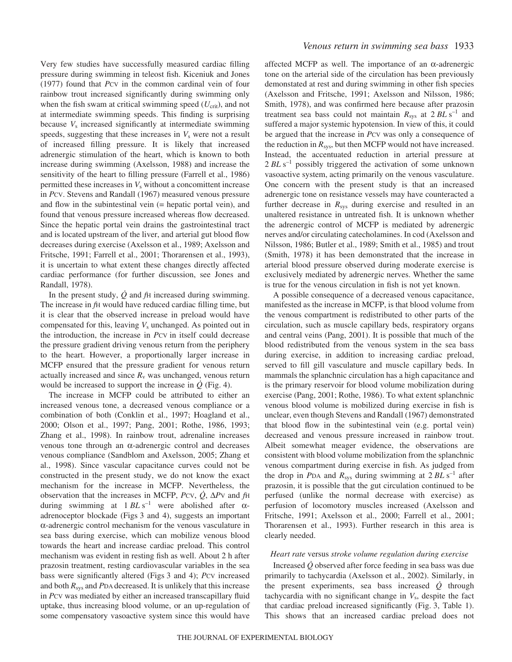Very few studies have successfully measured cardiac filling pressure during swimming in teleost fish. Kiceniuk and Jones (1977) found that *P*CV in the common cardinal vein of four rainbow trout increased significantly during swimming only when the fish swam at critical swimming speed  $(U_{\text{crit}})$ , and not at intermediate swimming speeds. This finding is surprising because *V*<sup>s</sup> increased significantly at intermediate swimming speeds, suggesting that these increases in  $V<sub>s</sub>$  were not a result of increased filling pressure. It is likely that increased adrenergic stimulation of the heart, which is known to both increase during swimming (Axelsson, 1988) and increase the sensitivity of the heart to filling pressure (Farrell et al., 1986) permitted these increases in  $V<sub>s</sub>$  without a concomittent increase in *P*CV. Stevens and Randall (1967) measured venous pressure and flow in the subintestinal vein (= hepatic portal vein), and found that venous pressure increased whereas flow decreased. Since the hepatic portal vein drains the gastrointestinal tract and is located upstream of the liver, and arterial gut blood flow decreases during exercise (Axelsson et al., 1989; Axelsson and Fritsche, 1991; Farrell et al., 2001; Thorarensen et al., 1993), it is uncertain to what extent these changes directly affected cardiac performance (for further discussion, see Jones and Randall, 1978).

In the present study, *Q* and *f*H increased during swimming. The increase in *f*H would have reduced cardiac filling time, but it is clear that the observed increase in preload would have compensated for this, leaving  $V_s$  unchanged. As pointed out in the introduction, the increase in *P*CV in itself could decrease the pressure gradient driving venous return from the periphery to the heart. However, a proportionally larger increase in MCFP ensured that the pressure gradient for venous return actually increased and since  $R<sub>v</sub>$  was unchanged, venous return would be increased to support the increase in  $\dot{Q}$  (Fig. 4).

The increase in MCFP could be attributed to either an increased venous tone, a decreased venous compliance or a combination of both (Conklin et al., 1997; Hoagland et al., 2000; Olson et al., 1997; Pang, 2001; Rothe, 1986, 1993; Zhang et al., 1998). In rainbow trout, adrenaline increases venous tone through an α-adrenergic control and decreases venous compliance (Sandblom and Axelsson, 2005; Zhang et al., 1998). Since vascular capacitance curves could not be constructed in the present study, we do not know the exact mechanism for the increase in MCFP. Nevertheless, the observation that the increases in MCFP, *P*CV, *Q*, ∆*P*V and *f*H during swimming at  $1 BLs^{-1}$  were abolished after  $\alpha$ adrenoceptor blockade (Figs 3 and 4), suggests an important α-adrenergic control mechanism for the venous vasculature in sea bass during exercise, which can mobilize venous blood towards the heart and increase cardiac preload. This control mechanism was evident in resting fish as well. About 2 h after prazosin treatment, resting cardiovascular variables in the sea bass were significantly altered (Figs 3 and 4); *Pcv* increased and both *R*sys and *P*DA decreased. It is unlikely that this increase in *P*CV was mediated by either an increased transcapillary fluid uptake, thus increasing blood volume, or an up-regulation of some compensatory vasoactive system since this would have

affected MCFP as well. The importance of an α-adrenergic tone on the arterial side of the circulation has been previously demonstated at rest and during swimming in other fish species (Axelsson and Fritsche, 1991; Axelsson and Nilsson, 1986; Smith, 1978), and was confirmed here because after prazosin treatment sea bass could not maintain  $R_{sys}$  at  $2 BL s^{-1}$  and suffered a major systemic hypotension. In view of this, it could be argued that the increase in *P*CV was only a consequence of the reduction in  $R_{sys}$ , but then MCFP would not have increased. Instead, the accentuated reduction in arterial pressure at 2 BL s<sup>-1</sup> possibly triggered the activation of some unknown vasoactive system, acting primarily on the venous vasculature. One concern with the present study is that an increased adrenergic tone on resistance vessels may have counteracted a further decrease in  $R_{sys}$  during exercise and resulted in an unaltered resistance in untreated fish. It is unknown whether the adrenergic control of MCFP is mediated by adrenergic nerves and/or circulating catecholamines. In cod (Axelsson and Nilsson, 1986; Butler et al., 1989; Smith et al., 1985) and trout (Smith, 1978) it has been demonstrated that the increase in arterial blood pressure observed during moderate exercise is exclusively mediated by adrenergic nerves. Whether the same is true for the venous circulation in fish is not yet known.

A possible consequence of a decreased venous capacitance, manifested as the increase in MCFP, is that blood volume from the venous compartment is redistributed to other parts of the circulation, such as muscle capillary beds, respiratory organs and central veins (Pang, 2001). It is possible that much of the blood redistributed from the venous system in the sea bass during exercise, in addition to increasing cardiac preload, served to fill gill vasculature and muscle capillary beds. In mammals the splanchnic circulation has a high capacitance and is the primary reservoir for blood volume mobilization during exercise (Pang, 2001; Rothe, 1986). To what extent splanchnic venous blood volume is mobilized during exercise in fish is unclear, even though Stevens and Randall (1967) demonstrated that blood flow in the subintestinal vein (e.g. portal vein) decreased and venous pressure increased in rainbow trout. Albeit somewhat meager evidence, the observations are consistent with blood volume mobilization from the splanchnic venous compartment during exercise in fish. As judged from the drop in *P*DA and  $R_{sys}$  during swimming at 2  $BL \text{ s}^{-1}$  after prazosin, it is possible that the gut circulation continued to be perfused (unlike the normal decrease with exercise) as perfusion of locomotory muscles increased (Axelsson and Fritsche, 1991; Axelsson et al., 2000; Farrell et al., 2001; Thorarensen et al., 1993). Further research in this area is clearly needed.

#### *Heart rate* versus *stroke volume regulation during exercise*

Increased *Q* observed after force feeding in sea bass was due primarily to tachycardia (Axelsson et al., 2002). Similarly, in the present experiments, sea bass increased *Q* through tachycardia with no significant change in  $V_s$ , despite the fact that cardiac preload increased significantly (Fig. 3, Table 1). This shows that an increased cardiac preload does not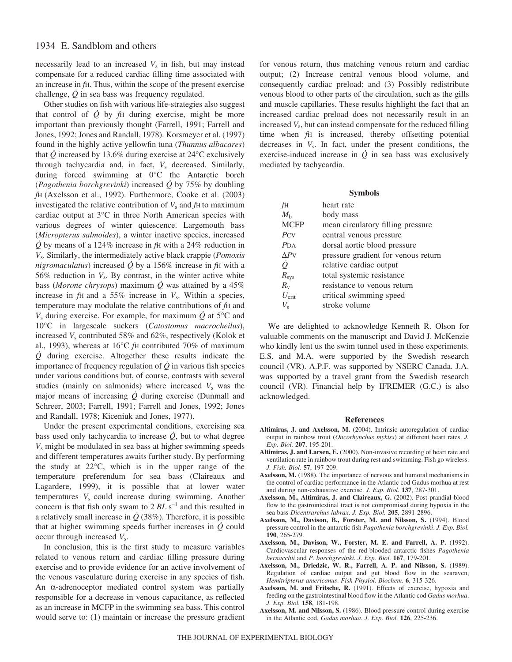necessarily lead to an increased  $V<sub>s</sub>$  in fish, but may instead compensate for a reduced cardiac filling time associated with an increase in *f*H. Thus, within the scope of the present exercise challenge, *Q* in sea bass was frequency regulated.

Other studies on fish with various life-strategies also suggest that control of  $\dot{Q}$  by  $fH$  during exercise, might be more important than previously thought (Farrell, 1991; Farrell and Jones, 1992; Jones and Randall, 1978). Korsmeyer et al. (1997) found in the highly active yellowfin tuna (*Thunnus albacares*) that  $\dot{Q}$  increased by 13.6% during exercise at 24°C exclusively through tachycardia and, in fact, *V*<sup>s</sup> decreased. Similarly, during forced swimming at 0°C the Antarctic borch (*Pagothenia borchgrevinki*) increased *Q* by 75% by doubling *f*H (Axelsson et al., 1992). Furthermore, Cooke et al. (2003) investigated the relative contribution of  $V_s$  and  $f_H$  to maximum cardiac output at 3°C in three North American species with various degrees of winter quiescence. Largemouth bass (*Micropterus salmoides*), a winter inactive species, increased  $\dot{Q}$  by means of a 124% increase in  $f$ H with a 24% reduction in *V*s. Similarly, the intermediately active black crappie (*Pomoxis nigromaculatus*) increased  $\dot{Q}$  by a 156% increase in  $f$ H with a 56% reduction in  $V_s$ . By contrast, in the winter active white bass (*Morone chrysops*) maximum  $\dot{Q}$  was attained by a 45% increase in  $f$ H and a 55% increase in  $V_s$ . Within a species, temperature may modulate the relative contributions of *f*H and  $V_s$  during exercise. For example, for maximum  $\dot{Q}$  at 5<sup>o</sup>C and 10°C in largescale suckers (*Catostomus macrocheilus*), increased *V*<sup>s</sup> contributed 58% and 62%, respectively (Kolok et al., 1993), whereas at 16°C *f*H contributed 70% of maximum *Q* during exercise. Altogether these results indicate the importance of frequency regulation of *Q* in various fish species under various conditions but, of course, contrasts with several studies (mainly on salmonids) where increased  $V<sub>s</sub>$  was the major means of increasing *Q* during exercise (Dunmall and Schreer, 2003; Farrell, 1991; Farrell and Jones, 1992; Jones and Randall, 1978; Kiceniuk and Jones, 1977).

Under the present experimental conditions, exercising sea bass used only tachycardia to increase  $\dot{Q}$ , but to what degree *V*<sup>s</sup> might be modulated in sea bass at higher swimming speeds and different temperatures awaits further study. By performing the study at 22°C, which is in the upper range of the temperature preferendum for sea bass (Claireaux and Lagardere, 1999), it is possible that at lower water temperatures  $V<sub>s</sub>$  could increase during swimming. Another concern is that fish only swam to  $2 BLs^{-1}$  and this resulted in a relatively small increase in  $\dot{\mathcal{Q}}$  (38%). Therefore, it is possible that at higher swimming speeds further increases in *Q* could occur through increased *V*s.

In conclusion, this is the first study to measure variables related to venous return and cardiac filling pressure during exercise and to provide evidence for an active involvement of the venous vasculature during exercise in any species of fish. An α-adrenoceptor mediated control system was partially responsible for a decrease in venous capacitance, as reflected as an increase in MCFP in the swimming sea bass. This control would serve to: (1) maintain or increase the pressure gradient

for venous return, thus matching venous return and cardiac output; (2) Increase central venous blood volume, and consequently cardiac preload; and (3) Possibly redistribute venous blood to other parts of the circulation, such as the gills and muscle capillaries. These results highlight the fact that an increased cardiac preload does not necessarily result in an increased *V*s, but can instead compensate for the reduced filling time when *f*H is increased, thereby offsetting potential decreases in *V*s. In fact, under the present conditions, the exercise-induced increase in  $\dot{Q}$  in sea bass was exclusively mediated by tachycardia.

### **Symbols**

| fн              | heart rate                          |
|-----------------|-------------------------------------|
| $M_{h}$         | body mass                           |
| <b>MCFP</b>     | mean circulatory filling pressure   |
| PCV             | central venous pressure             |
| $P_{\text{DA}}$ | dorsal aortic blood pressure        |
| APV             | pressure gradient for venous return |
| Ò.              | relative cardiac output             |
| $R_{\rm sys}$   | total systemic resistance           |
| $R_{v}$         | resistance to venous return         |
| $U_{\rm crit}$  | critical swimming speed             |
| $V_{\rm s}$     | stroke volume                       |

We are delighted to acknowledge Kenneth R. Olson for valuable comments on the manuscript and David J. McKenzie who kindly lent us the swim tunnel used in these experiments. E.S. and M.A. were supported by the Swedish research council (VR). A.P.F. was supported by NSERC Canada. J.A. was supported by a travel grant from the Swedish research council (VR). Financial help by IFREMER (G.C.) is also acknowledged.

#### **References**

- **Altimiras, J. and Axelsson, M.** (2004). Intrinsic autoregulation of cardiac output in rainbow trout (*Oncorhynchus mykiss*) at different heart rates. *J. Exp. Biol.* **207**, 195-201.
- **Altimiras, J. and Larsen, E.** (2000). Non-invasive recording of heart rate and ventilation rate in rainbow trout during rest and swimming. Fish go wireless. *J. Fish. Biol.* **57**, 197-209.
- **Axelsson, M.** (1988). The importance of nervous and humoral mechanisms in the control of cardiac performance in the Atlantic cod Gadus morhua at rest and during non-exhaustive exercise. *J. Exp. Biol.* **137**, 287-301.
- Axelsson, M., Altimiras, J. and Claireaux, G. (2002). Post-prandial blood flow to the gastrointestinal tract is not compromised during hypoxia in the sea bass *Dicentrarchus labrax*. *J. Exp. Biol.* **205**, 2891-2896.
- **Axelsson, M., Davison, B., Forster, M. and Nilsson, S.** (1994). Blood pressure control in the antarctic fish *Pagothenia borchgrevinki*. *J. Exp. Biol.* **190**, 265-279.
- Axelsson, M., Davison, W., Forster, M. E. and Farrell, A. P. (1992). Cardiovascular responses of the red-blooded antarctic fishes *Pagothenia bernacchii* and *P. borchgrevinki*. *J. Exp. Biol.* **167**, 179-201.
- **Axelsson, M., Driedzic, W. R., Farrell, A. P. and Nilsson, S.** (1989). Regulation of cardiac output and gut blood flow in the searaven, *Hemitripterus americanus*. *Fish Physiol. Biochem.* **6**, 315-326.
- **Axelsson, M. and Fritsche, R.** (1991). Effects of exercise, hypoxia and feeding on the gastrointestinal blood flow in the Atlantic cod *Gadus morhua*. *J. Exp. Biol.* **158**, 181-198.
- **Axelsson, M. and Nilsson, S.** (1986). Blood pressure control during exercise in the Atlantic cod, *Gadus morhua*. *J. Exp. Biol.* **126**, 225-236.